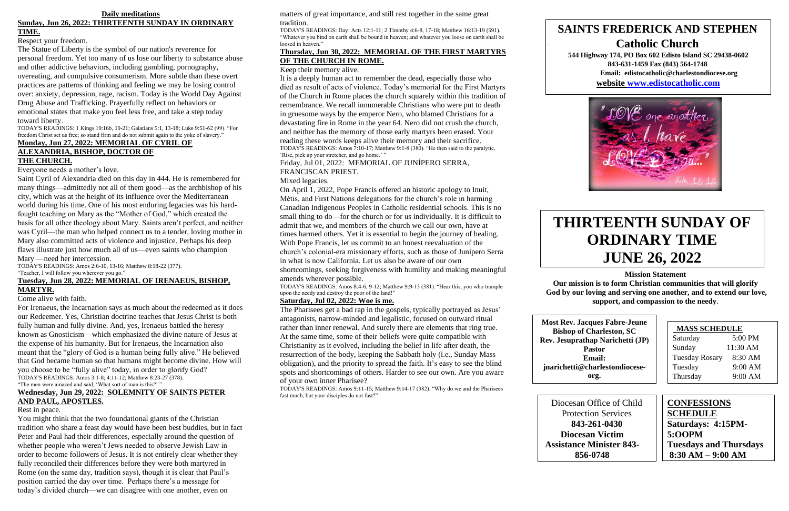## **Daily meditations Sunday, Jun 26, 2022: THIRTEENTH SUNDAY IN ORDINARY**

## **TIME.**

## Respect your freedom.

The Statue of Liberty is the symbol of our nation's reverence for personal freedom. Yet too many of us lose our liberty to substance abuse and other addictive behaviors, including gambling, pornography, overeating, and compulsive consumerism. More subtle than these overt practices are patterns of thinking and feeling we may be losing control over: anxiety, depression, rage, racism. Today is the World Day Against Drug Abuse and Trafficking. Prayerfully reflect on behaviors or emotional states that make you feel less free, and take a step today toward liberty.

TODAY'S READINGS: 1 Kings 19:16b, 19-21; Galatians 5:1, 13-18; Luke 9:51-62 (99). "For freedom Christ set us free; so stand firm and do not submit again to the yoke of slavery."

### **Monday, Jun 27, 2022: MEMORIAL OF CYRIL OF ALEXANDRIA, BISHOP, DOCTOR OF THE CHURCH.**

Everyone needs a mother's love.

Saint Cyril of Alexandria died on this day in 444. He is remembered for many things—admittedly not all of them good—as the archbishop of his city, which was at the height of its influence over the Mediterranean world during his time. One of his most enduring legacies was his hardfought teaching on Mary as the "Mother of God," which created the basis for all other theology about Mary. Saints aren't perfect, and neither was Cyril—the man who helped connect us to a tender, loving mother in Mary also committed acts of violence and injustice. Perhaps his deep flaws illustrate just how much all of us—even saints who champion Mary —need her intercession.

TODAY'S READINGS: Amos 2:6-10, 13-16; Matthew 8:18-22 (377). "Teacher, I will follow you wherever you go."

## **Tuesday, Jun 28, 2022: MEMORIAL OF IRENAEUS, BISHOP, MARTYR.**

Come alive with faith.

For Irenaeus, the Incarnation says as much about the redeemed as it does our Redeemer. Yes, Christian doctrine teaches that Jesus Christ is both fully human and fully divine. And, yes, Irenaeus battled the heresy known as Gnosticism—which emphasized the divine nature of Jesus at the expense of his humanity. But for Irenaeus, the Incarnation also meant that the "glory of God is a human being fully alive." He believed that God became human so that humans might become divine. How will you choose to be "fully alive" today, in order to glorify God? TODAY'S READINGS: Amos 3:1-8; 4:11-12; Matthew 8:23-27 (378). "The men were amazed and said, 'What sort of man is this?' "

## **Wednesday, Jun 29, 2022: SOLEMNITY OF SAINTS PETER AND PAUL, APOSTLES.**

### Rest in peace.

You might think that the two foundational giants of the Christian tradition who share a feast day would have been best buddies, but in fact Peter and Paul had their differences, especially around the question of whether people who weren't Jews needed to observe Jewish Law in order to become followers of Jesus. It is not entirely clear whether they fully reconciled their differences before they were both martyred in Rome (on the same day, tradition says), though it is clear that Paul's position carried the day over time. Perhaps there's a message for today's divided church—we can disagree with one another, even on

matters of great importance, and still rest together in the same great tradition.

TODAY'S READINGS: Day: Acts 12:1-11; 2 Timothy 4:6-8, 17-18; Matthew 16:13-19 (591). "Whatever you bind on earth shall be bound in heaven; and whatever you loose on earth shall be loosed in heaven."

## **Thursday, Jun 30, 2022: MEMORIAL OF THE FIRST MARTYRS OF THE CHURCH IN ROME.**

## Keep their memory alive.

It is a deeply human act to remember the dead, especially those who died as result of acts of violence. Today's memorial for the First Martyrs of the Church in Rome places the church squarely within this tradition of remembrance. We recall innumerable Christians who were put to death in gruesome ways by the emperor Nero, who blamed Christians for a devastating fire in Rome in the year 64. Nero did not crush the church, and neither has the memory of those early martyrs been erased. Your reading these words keeps alive their memory and their sacrifice. TODAY'S READINGS: Amos 7:10-17; Matthew 9:1-8 (380). "He then said to the paralytic, 'Rise, pick up your stretcher, and go home.' "

Friday, Jul 01, 2022: MEMORIAL OF JUNÍPERO SERRA, FRANCISCAN PRIEST.

## Mixed legacies.

On April 1, 2022, Pope Francis offered an historic apology to Inuit, Métis, and First Nations delegations for the church's role in harming Canadian Indigenous Peoples in Catholic residential schools. This is no small thing to do—for the church or for us individually. It is difficult to admit that we, and members of the church we call our own, have at times harmed others. Yet it is essential to begin the journey of healing. With Pope Francis, let us commit to an honest reevaluation of the church's colonial-era missionary efforts, such as those of Junípero Serra in what is now California. Let us also be aware of our own

shortcomings, seeking forgiveness with humility and making meaningful amends wherever possible.

TODAY'S READINGS: Amos 8:4-6, 9-12; Matthew 9:9-13 (381). "Hear this, you who trample upon the needy and destroy the poor of the land!"

## **Saturday, Jul 02, 2022: Woe is me.**

The Pharisees get a bad rap in the gospels, typically portrayed as Jesus' antagonists, narrow-minded and legalistic, focused on outward ritual rather than inner renewal. And surely there are elements that ring true. At the same time, some of their beliefs were quite compatible with Christianity as it evolved, including the belief in life after death, the resurrection of the body, keeping the Sabbath holy (i.e., Sunday Mass obligation), and the priority to spread the faith. It's easy to see the blind spots and shortcomings of others. Harder to see our own. Are you aware of your own inner Pharisee?

TODAY'S READINGS: Amos 9:11-15; Matthew 9:14-17 (382). "Why do we and the Pharisees fast much, but your disciples do not fast?"

**Mission Statement**

**Our mission is to form Christian communities that will glorify God by our loving and serving one another, and to extend our love, support, and compassion to the needy**.

> **MASS SCHEDULE** Saturday 5:00 PM Sunday 11:30 AM Tuesday Rosary 8:30 AM Tuesday 9:00 AM Thursday 9:00 AM

## **SAINTS FREDERICK AND STEPHEN Catholic Church**

**544 Highway 174, PO Box 602 Edisto Island SC 29438-0602 843-631-1459 Fax (843) 564-1748 Email: edistocatholic@charlestondiocese.org website [www.edistocatholic.com](http://www.edistocatholic.com/)**



# **THIRTEENTH SUNDAY OF ORDINARY TIME JUNE 26, 2022**

**CONFESSIONS SCHEDULE Saturdays: 4:15PM-5:OOPM Tuesdays and Thursdays 8:30 AM – 9:00 AM**

**Most Rev. Jacques Fabre-Jeune Bishop of Charleston, SC Rev. Jesuprathap Narichetti (JP) Pastor Email: jnarichetti@charlestondioceseorg.**

Diocesan Office of Child Protection Services **843-261-0430 Diocesan Victim Assistance Minister 843- 856-0748**